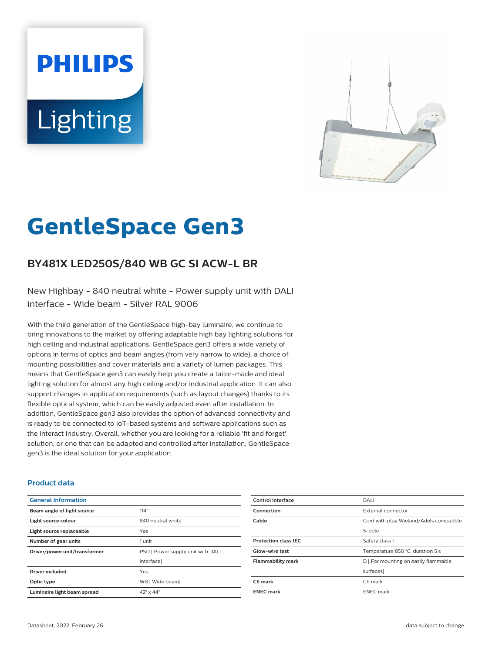# **PHILIPS Lighting**



# **GentleSpace Gen3**

# **BY481X LED250S/840 WB GC SI ACW-L BR**

New Highbay - 840 neutral white - Power supply unit with DALI interface - Wide beam - Silver RAL 9006

With the third generation of the GentleSpace high-bay luminaire, we continue to bring innovations to the market by offering adaptable high bay lighting solutions for high ceiling and industrial applications. GentleSpace gen3 offers a wide variety of options in terms of optics and beam angles (from very narrow to wide), a choice of mounting possibilities and cover materials and a variety of lumen packages. This means that GentleSpace gen3 can easily help you create a tailor-made and ideal lighting solution for almost any high ceiling and/or industrial application. It can also support changes in application requirements (such as layout changes) thanks to its flexible optical system, which can be easily adjusted even after installation. In addition, GentleSpace gen3 also provides the option of advanced connectivity and is ready to be connected to IoT-based systems and software applications such as the Interact Industry. Overall, whether you are looking for a reliable 'fit and forget' solution, or one that can be adapted and controlled after installation, GentleSpace gen3 is the ideal solution for your application.

#### **Product data**

| <b>General Information</b>    |                                   |
|-------------------------------|-----------------------------------|
| Beam angle of light source    | 114°                              |
| Light source colour           | 840 neutral white                 |
| Light source replaceable      | Yes                               |
| Number of gear units          | 1 unit                            |
| Driver/power unit/transformer | PSD [ Power supply unit with DALI |
|                               | interfacel                        |
| <b>Driver included</b>        | Yes                               |
| Optic type                    | WB [ Wide beam]                   |
| Luminaire light beam spread   | $42^\circ \times 44^\circ$        |

| Control interface           | DALI                                    |
|-----------------------------|-----------------------------------------|
| Connection                  | External connector                      |
| Cable                       | Cord with plug Wieland/Adels compatible |
|                             | 5-pole                                  |
| <b>Protection class IEC</b> | Safety class I                          |
| <b>Glow-wire test</b>       | Temperature 850 °C, duration 5 s        |
| <b>Flammability mark</b>    | D   For mounting on easily flammable    |
|                             | surfaces]                               |
| CE mark                     | CE mark                                 |
| <b>ENEC mark</b>            | <b>ENEC</b> mark                        |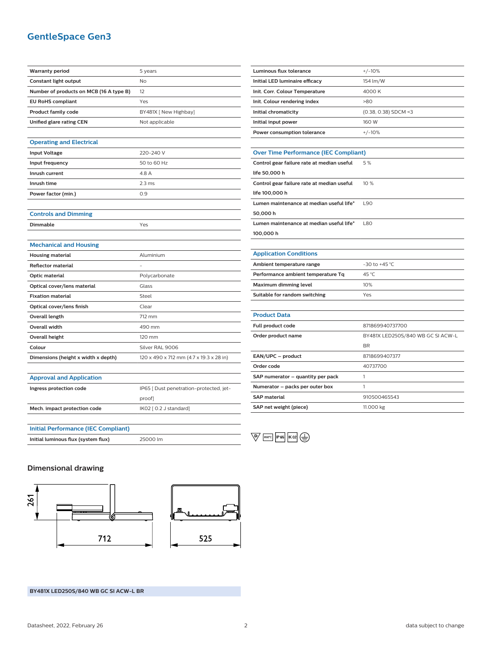# **GentleSpace Gen3**

| <b>Warranty period</b>                     | 5 years                                 |
|--------------------------------------------|-----------------------------------------|
| <b>Constant light output</b>               | No                                      |
| Number of products on MCB (16 A type B)    | 12                                      |
| <b>EU RoHS compliant</b>                   | Yes                                     |
| <b>Product family code</b>                 | BY481X [ New Highbay]                   |
| Unified glare rating CEN                   | Not applicable                          |
|                                            |                                         |
| <b>Operating and Electrical</b>            |                                         |
| <b>Input Voltage</b>                       | 220-240 V                               |
| Input frequency                            | 50 to 60 Hz                             |
| Inrush current                             | 4.8 A                                   |
| Inrush time                                | 2.3 <sub>ms</sub>                       |
| Power factor (min.)                        | 0.9                                     |
|                                            |                                         |
| <b>Controls and Dimming</b>                |                                         |
| Dimmable                                   | Yes                                     |
|                                            |                                         |
| <b>Mechanical and Housing</b>              |                                         |
| <b>Housing material</b>                    | Aluminium                               |
| <b>Reflector material</b>                  |                                         |
| <b>Optic material</b>                      | Polycarbonate                           |
| Optical cover/lens material                | Glass                                   |
| <b>Fixation material</b>                   | Steel                                   |
| Optical cover/lens finish                  | Clear                                   |
| <b>Overall length</b>                      | 712 mm                                  |
| <b>Overall width</b>                       | 490 mm                                  |
| <b>Overall height</b>                      | 120 mm                                  |
| Colour                                     | Silver RAL 9006                         |
| Dimensions (height x width x depth)        | 120 x 490 x 712 mm (4.7 x 19.3 x 28 in) |
|                                            |                                         |
| <b>Approval and Application</b>            |                                         |
| Ingress protection code                    | IP65 [ Dust penetration-protected, jet- |
|                                            | proof]                                  |
| Mech. impact protection code               | IK02 [ 0.2 J standard]                  |
|                                            |                                         |
| <b>Initial Performance (IEC Compliant)</b> |                                         |
| Initial luminous flux (system flux)        | 25000 lm                                |
|                                            |                                         |

| <b>Luminous flux tolerance</b>               | $+/-10%$               |
|----------------------------------------------|------------------------|
| Initial LED luminaire efficacy               | 154 lm/W               |
| Init. Corr. Colour Temperature               | 4000 K                 |
| Init. Colour rendering index                 | >80                    |
| Initial chromaticity                         | $(0.38, 0.38)$ SDCM <3 |
| Initial input power                          | 160 W                  |
| Power consumption tolerance                  | $+/-10%$               |
|                                              |                        |
| <b>Over Time Performance (IEC Compliant)</b> |                        |
| Control gear failure rate at median useful   | 5 %                    |

| CONTROL ECCLICIATION CRUC CLINICORDI USCIULE 270 |      |
|--------------------------------------------------|------|
| life 50,000 h                                    |      |
| Control gear failure rate at median useful       | 10%  |
| life 100,000 h                                   |      |
| Lumen maintenance at median useful life*         | L90  |
| 50,000 h                                         |      |
| Lumen maintenance at median useful life*         | 1.80 |
| 100,000 h                                        |      |

| <b>Application Conditions</b>      |                   |
|------------------------------------|-------------------|
| Ambient temperature range          | $-30$ to $+45$ °C |
| Performance ambient temperature Tq | 45 °C             |
| Maximum dimming level              | 10%               |
| Suitable for random switching      | Yes               |

#### **Product Data**

| Full product code                 | 871869940737700                   |
|-----------------------------------|-----------------------------------|
| Order product name                | BY481X LED250S/840 WB GC SI ACW-L |
|                                   | <b>BR</b>                         |
| EAN/UPC - product                 | 8718699407377                     |
| Order code                        | 40737700                          |
| SAP numerator - quantity per pack |                                   |
| Numerator - packs per outer box   |                                   |
| <b>SAP material</b>               | 910500465543                      |
| SAP net weight (piece)            | 11.000 kg                         |
|                                   |                                   |

 $\overline{\mathbb{Q}}$   $\overline{\mathbb{R}^{60^{\circ}C}}$   $\overline{\mathbb{R}^{65}}$   $\overline{\mathbb{R}^{02}}$   $\overline{\mathbb{Q}}$ 

### **Dimensional drawing**



**BY481X LED250S/840 WB GC SI ACW-L BR**